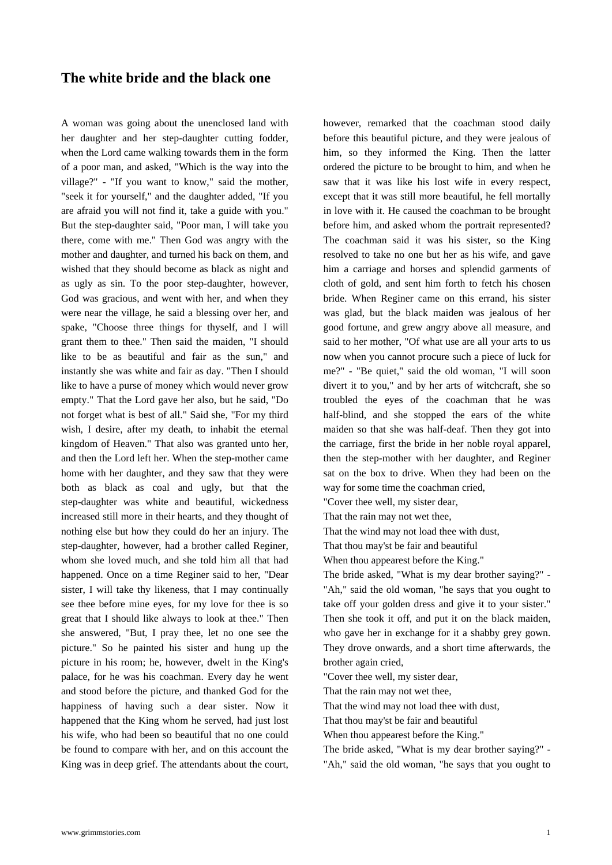## **The white bride and the black one**

[A woman was going about the unenclosed land w](https://www.grimmstories.com/en/grimm_fairy-tales/the_white_bride_and_the_black_one)ith her daughter and her step-daughter cutting fodder, when the Lord came walking towards them in the form of a poor man, and asked, "Which is the way into the village?" - "If you want to know," said the mother, "seek it for yourself," and the daughter added, "If you are afraid you will not find it, take a guide with you." But the step-daughter said, "Poor man, I will take you there, come with me." Then God was angry with the mother and daughter, and turned his back on them, and wished that they should become as black as night and as ugly as sin. To the poor step-daughter, however, God was gracious, and went with her, and when they were near the village, he said a blessing over her, and spake, "Choose three things for thyself, and I will grant them to thee." Then said the maiden, "I should like to be as beautiful and fair as the sun," and instantly she was white and fair as day. "Then I should like to have a purse of money which would never grow empty." That the Lord gave her also, but he said, "Do not forget what is best of all." Said she, "For my third wish, I desire, after my death, to inhabit the eternal kingdom of Heaven." That also was granted unto her, and then the Lord left her. When the step-mother came home with her daughter, and they saw that they were both as black as coal and ugly, but that the step-daughter was white and beautiful, wickedness increased still more in their hearts, and they thought of nothing else but how they could do her an injury. The step-daughter, however, had a brother called Reginer, whom she loved much, and she told him all that had happened. Once on a time Reginer said to her, "Dear sister, I will take thy likeness, that I may continually see thee before mine eyes, for my love for thee is so great that I should like always to look at thee." Then she answered, "But, I pray thee, let no one see the picture." So he painted his sister and hung up the picture in his room; he, however, dwelt in the King's palace, for he was his coachman. Every day he went and stood before the picture, and thanked God for the happiness of having such a dear sister. Now it happened that the King whom he served, had just lost his wife, who had been so beautiful that no one could be found to compare with her, and on this account the King was in deep grief. The attendants about the court, however, remarked that the coachman stood daily before this beautiful picture, and they were jealous of him, so they informed the King. Then the latter ordered the picture to be brought to him, and when he saw that it was like his lost wife in every respect, except that it was still more beautiful, he fell mortally in love with it. He caused the coachman to be brought before him, and asked whom the portrait represented? The coachman said it was his sister, so the King resolved to take no one but her as his wife, and gave him a carriage and horses and splendid garments of cloth of gold, and sent him forth to fetch his chosen bride. When Reginer came on this errand, his sister was glad, but the black maiden was jealous of her good fortune, and grew angry above all measure, and said to her mother, "Of what use are all your arts to us now when you cannot procure such a piece of luck for me?" - "Be quiet," said the old woman, "I will soon divert it to you," and by her arts of witchcraft, she so troubled the eyes of the coachman that he was half-blind, and she stopped the ears of the white maiden so that she was half-deaf. Then they got into the carriage, first the bride in her noble royal apparel, then the step-mother with her daughter, and Reginer sat on the box to drive. When they had been on the way for some time the coachman cried,

"Cover thee well, my sister dear,

That the rain may not wet thee,

That the wind may not load thee with dust,

That thou may'st be fair and beautiful

When thou appearest before the King."

The bride asked, "What is my dear brother saying?" - "Ah," said the old woman, "he says that you ought to take off your golden dress and give it to your sister." Then she took it off, and put it on the black maiden, who gave her in exchange for it a shabby grey gown. They drove onwards, and a short time afterwards, the brother again cried,

"Cover thee well, my sister dear,

That the rain may not wet thee,

That the wind may not load thee with dust,

That thou may'st be fair and beautiful

When thou appearest before the King."

The bride asked, "What is my dear brother saying?" -

"Ah," said the old woman, "he says that you ought to